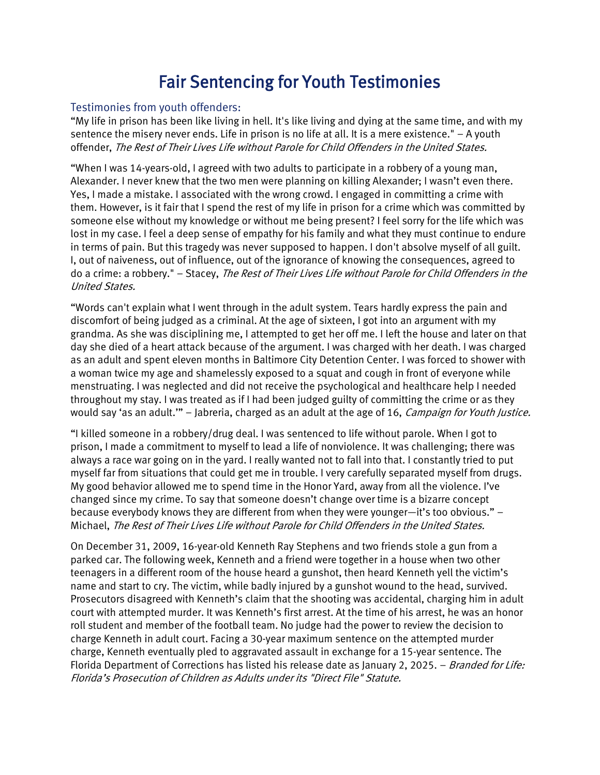## Fair Sentencing for Youth Testimonies

## Testimonies from youth offenders:

"My life in prison has been like living in hell. It's like living and dying at the same time, and with my sentence the misery never ends. Life in prison is no life at all. It is a mere existence." – A youth offender, The Rest of Their Lives Life without Parole for Child Offenders in the United States.

"When I was 14-years-old, I agreed with two adults to participate in a robbery of a young man, Alexander. I never knew that the two men were planning on killing Alexander; I wasn't even there. Yes, I made a mistake. I associated with the wrong crowd. I engaged in committing a crime with them. However, is it fair that I spend the rest of my life in prison for a crime which was committed by someone else without my knowledge or without me being present? I feel sorry for the life which was lost in my case. I feel a deep sense of empathy for his family and what they must continue to endure in terms of pain. But this tragedy was never supposed to happen. I don't absolve myself of all guilt. I, out of naiveness, out of influence, out of the ignorance of knowing the consequences, agreed to do a crime: a robbery." – Stacey, The Rest of Their Lives Life without Parole for Child Offenders in the United States.

"Words can't explain what I went through in the adult system. Tears hardly express the pain and discomfort of being judged as a criminal. At the age of sixteen, I got into an argument with my grandma. As she was disciplining me, I attempted to get her off me. I left the house and later on that day she died of a heart attack because of the argument. I was charged with her death. I was charged as an adult and spent eleven months in Baltimore City Detention Center. I was forced to shower with a woman twice my age and shamelessly exposed to a squat and cough in front of everyone while menstruating. I was neglected and did not receive the psychological and healthcare help I needed throughout my stay. I was treated as if I had been judged guilty of committing the crime or as they would say 'as an adult." - Jabreria, charged as an adult at the age of 16, *Campaign for Youth Justice.* 

"I killed someone in a robbery/drug deal. I was sentenced to life without parole. When I got to prison, I made a commitment to myself to lead a life of nonviolence. It was challenging; there was always a race war going on in the yard. I really wanted not to fall into that. I constantly tried to put myself far from situations that could get me in trouble. I very carefully separated myself from drugs. My good behavior allowed me to spend time in the Honor Yard, away from all the violence. I've changed since my crime. To say that someone doesn't change over time is a bizarre concept because everybody knows they are different from when they were younger—it's too obvious." – Michael, The Rest of Their Lives Life without Parole for Child Offenders in the United States.

On December 31, 2009, 16-year-old Kenneth Ray Stephens and two friends stole a gun from a parked car. The following week, Kenneth and a friend were together in a house when two other teenagers in a different room of the house heard a gunshot, then heard Kenneth yell the victim's name and start to cry. The victim, while badly injured by a gunshot wound to the head, survived. Prosecutors disagreed with Kenneth's claim that the shooting was accidental, charging him in adult court with attempted murder. It was Kenneth's first arrest. At the time of his arrest, he was an honor roll student and member of the football team. No judge had the power to review the decision to charge Kenneth in adult court. Facing a 30-year maximum sentence on the attempted murder charge, Kenneth eventually pled to aggravated assault in exchange for a 15-year sentence. The Florida Department of Corrections has listed his release date as January 2, 2025. – Branded for Life: Florida's Prosecution of Children as Adults under its "Direct File" Statute.